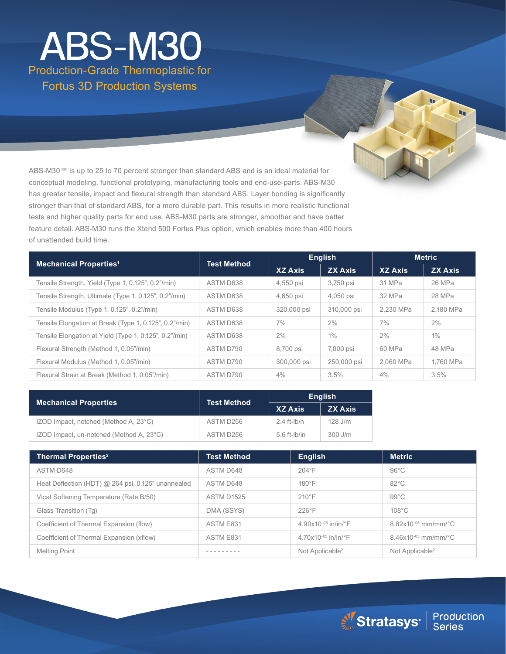### Production-Grade Thermoplastic for Fortus 3D Production Systems ABS-M30

ABS-M30™ is up to 25 to 70 percent stronger than standard ABS and is an ideal material for conceptual modeling, functional prototyping, manufacturing tools and end-use-parts. ABS-M30 has greater tensile, impact and flexural strength than standard ABS. Layer bonding is significantly stronger than that of standard ABS, for a more durable part. This results in more realistic functional tests and higher quality parts for end use. ABS-M30 parts are stronger, smoother and have better feature detail. ABS-M30 runs the Xtend 500 Fortus Plus option, which enables more than 400 hours of unattended build time.

| <b>Mechanical Properties<sup>1</sup></b>               | <b>Test Method</b> | <b>English</b> |                | <b>Metric</b>  |                |
|--------------------------------------------------------|--------------------|----------------|----------------|----------------|----------------|
|                                                        |                    | <b>XZ Axis</b> | <b>ZX Axis</b> | <b>XZ Axis</b> | <b>ZX Axis</b> |
| Tensile Strength, Yield (Type 1, 0.125", 0.2"/min)     | ASTM D638          | 4,550 psi      | 3,750 psi      | 31 MPa         | 26 MPa         |
| Tensile Strength, Ultimate (Type 1, 0.125", 0.2"/min)  | ASTM D638          | 4,650 psi      | 4,050 psi      | 32 MPa         | 28 MPa         |
| Tensile Modulus (Type 1, 0.125", 0.2"/min)             | ASTM D638          | 320,000 psi    | 310,000 psi    | 2.230 MPa      | 2,180 MPa      |
| Tensile Elongation at Break (Type 1, 0.125", 0.2"/min) | ASTM D638          | 7%             | 2%             | $7\%$          | 2%             |
| Tensile Elongation at Yield (Type 1, 0.125", 0.2"/min) | ASTM D638          | 2%             | $1\%$          | 2%             | $1\%$          |
| Flexural Strength (Method 1, 0.05"/min)                | ASTM D790          | 8,700 psi      | 7,000 psi      | 60 MPa         | 48 MPa         |
| Flexural Modulus (Method 1, 0.05"/min)                 | ASTM D790          | 300,000 psi    | 250,000 psi    | 2.060 MPa      | 1.760 MPa      |
| Flexural Strain at Break (Method 1, 0.05"/min)         | ASTM D790          | 4%             | 3.5%           | 4%             | 3.5%           |

| <b>Mechanical Properties</b>             | <b>Test Method</b> | <b>English</b> |                |
|------------------------------------------|--------------------|----------------|----------------|
|                                          |                    | <b>XZ Axis</b> | <b>ZX Axis</b> |
| IZOD Impact, notched (Method A, 23°C)    | ASTM D256          | $2.4$ ft-lb/n  | 128 J/m        |
| IZOD Impact, un-notched (Method A, 23°C) | ASTM D256          | $5.6$ ft-lb/in | $300$ J/m      |

| <b>Thermal Properties<sup>2</sup></b>              | <b>Test Method</b> | <b>English</b>                           | <b>Metric</b>                 |
|----------------------------------------------------|--------------------|------------------------------------------|-------------------------------|
| ASTM D648                                          | ASTM D648          | $204^{\circ}F$                           | $96^{\circ}$ C                |
| Heat Deflection (HDT) @ 264 psi, 0.125" unannealed | ASTM D648          | $180^\circ F$                            | $82^{\circ}$ C                |
| Vicat Softening Temperature (Rate B/50)            | <b>ASTM D1525</b>  | $210^{\circ}$ F                          | $99^{\circ}$ C                |
| Glass Transition (Tq)                              | DMA (SSYS)         | $226^{\circ}F$                           | $108^{\circ}$ C               |
| Coefficient of Thermal Expansion (flow)            | ASTM E831          | 4.90x10 $-05$ in/in/ $\degree$ F         | $8.82\times10^{-05}$ mm/mm/°C |
| Coefficient of Thermal Expansion (xflow)           | ASTM E831          | 4.70 $\times$ 10 <sup>-05</sup> in/in/°F | $8.46x10^{-05}$ mm/mm/°C      |
| <b>Melting Point</b>                               |                    | Not Applicable <sup>2</sup>              | Not Applicable <sup>2</sup>   |



h.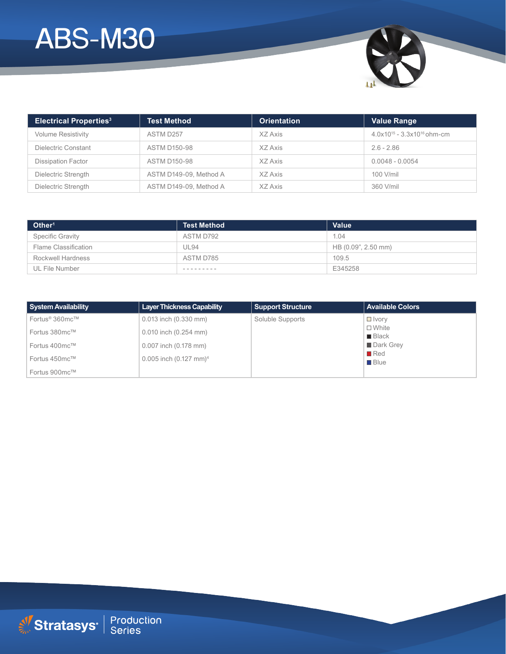# ABS-M30



| <b>Electrical Properties<sup>3</sup></b> | <b>Test Method</b>     | <b>Orientation</b> | <b>Value Range</b>                 |
|------------------------------------------|------------------------|--------------------|------------------------------------|
| <b>Volume Resistivity</b>                | ASTM D257              | XZ Axis            | $4.0x10^{15} - 3.3x10^{16}$ ohm-cm |
| Dielectric Constant                      | <b>ASTM D150-98</b>    | XZ Axis            | $2.6 - 2.86$                       |
| <b>Dissipation Factor</b>                | <b>ASTM D150-98</b>    | XZ Axis            | $0.0048 - 0.0054$                  |
| Dielectric Strength                      | ASTM D149-09. Method A | XZ Axis            | 100 V/mil                          |
| Dielectric Strength                      | ASTM D149-09. Method A | XZ Axis            | 360 V/mil                          |

| Other <sup>1</sup>      | <b>Test Method</b> | Value               |
|-------------------------|--------------------|---------------------|
| <b>Specific Gravity</b> | ASTM D792          | 1.04                |
| Flame Classification    | <b>UL94</b>        | HB (0.09", 2.50 mm) |
| Rockwell Hardness       | ASTM D785          | 109.5               |
| UL File Number          | ---------          | E345258             |

| <b>System Availability</b> | <b>Layer Thickness Capability</b> | <b>Support Structure</b> | <b>Available Colors</b>              |
|----------------------------|-----------------------------------|--------------------------|--------------------------------------|
| Fortus <sup>®</sup> 360mc™ | $0.013$ inch $(0.330$ mm)         | Soluble Supports         | $\Box$ Ivory                         |
| Fortus 380mc™              | $0.010$ inch $(0.254$ mm)         |                          | $\Box$ White<br>$\blacksquare$ Black |
| Fortus 400mc™              | 0.007 inch (0.178 mm)             |                          | Dark Grev                            |
| Fortus 450mc™              | 0.005 inch $(0.127 \text{ mm})^4$ |                          | $\blacksquare$ Red<br><b>Blue</b>    |
| Fortus 900mc™              |                                   |                          |                                      |

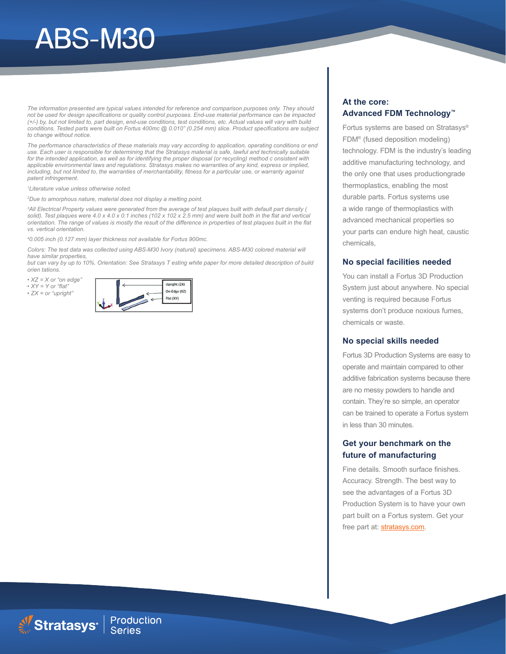# ABS-M30

*The information presented are typical values intended for reference and comparison purposes only. They should not be used for design specifications or quality control purposes. End-use material performance can be impacted (+/-) by, but not limited to, part design, end-use conditions, test conditions, etc. Actual values will vary with build conditions. Tested parts were built on Fortus 400mc @ 0.010" (0.254 mm) slice. Product specifications are subject to change without notice.*

*The performance characteristics of these materials may vary according to application, operating conditions or end use. Each user is responsible for determining that the Stratasys material is safe, lawful and technically suitable for the intended application, as well as for identifying the proper disposal (or recycling) method c onsistent with applicable environmental laws and regulations. Stratasys makes no warranties of any kind, express or implied, including, but not limited to, the warranties of merchantability, fitness for a particular use, or warranty against patent infringement.*

*1 Literature value unless otherwise noted.*

*2 Due to amorphous nature, material does not display a melting point.*

*3 All Electrical Property values were generated from the average of test plaques built with default part density (*  solid). Test plaques were 4.0 x 4.0 x 0.1 inches (102 x 102 x 2.5 mm) and were built both in the flat and vertical *orientation. The range of values is mostly the result of the difference in properties of test plaques built in the flat vs. vertical orientation.*

*4 0.005 inch (0.127 mm) layer thickness not available for Fortus 900mc.*

*Colors: The test data was collected using ABS-M30 Ivory (natural) specimens. ABS-M30 colored material will have similar properties,*

*but can vary by up to 10%. Orientation: See Stratasys T esting white paper for more detailed description of build orien tations.*

*• XZ = X or "on edge"*

- *XY = Y or "flat"*
- *ZX = or "upright"*



#### **At the core: Advanced FDM Technology™**

Fortus systems are based on Stratasys® FDM® (fused deposition modeling) technology. FDM is the industry's leading additive manufacturing technology, and the only one that uses productiongrade thermoplastics, enabling the most durable parts. Fortus systems use a wide range of thermoplastics with advanced mechanical properties so your parts can endure high heat, caustic chemicals,

#### **No special facilities needed**

You can install a Fortus 3D Production System just about anywhere. No special venting is required because Fortus systems don't produce noxious fumes, chemicals or waste.

#### **No special skills needed**

Fortus 3D Production Systems are easy to operate and maintain compared to other additive fabrication systems because there are no messy powders to handle and contain. They're so simple, an operator can be trained to operate a Fortus system in less than 30 minutes.

#### **Get your benchmark on the future of manufacturing**

Fine details. Smooth surface finishes. Accuracy. Strength. The best way to see the advantages of a Fortus 3D Production System is to have your own part built on a Fortus system. Get your free part at: **stratasys.com**.